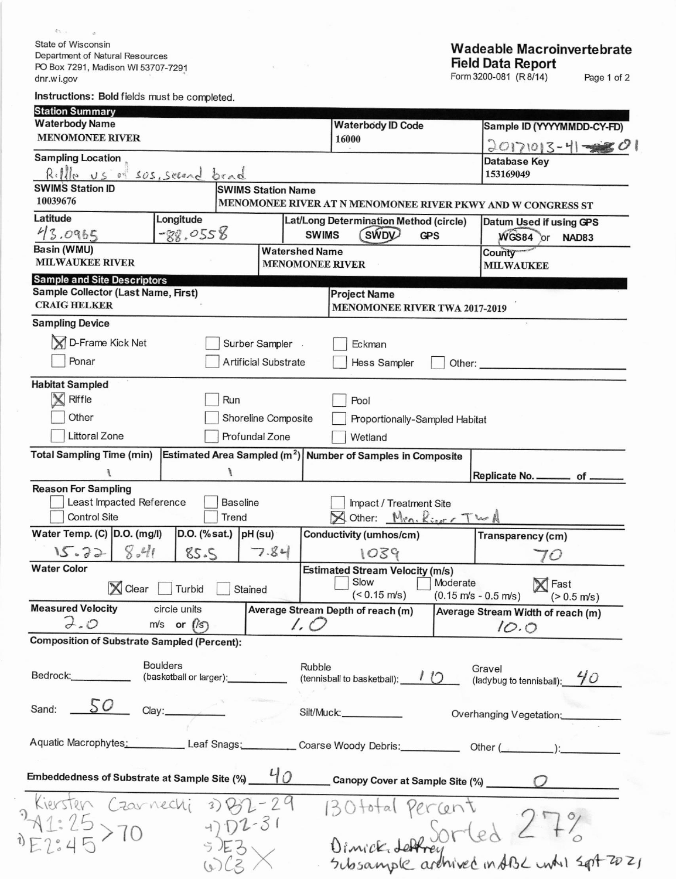State of Wisconsin Department of Natural Resources PO Box 7291, Madison WI 53707-7291 dnr.wi.gov

 $\sigma_{\rm D}$  .

 $\widehat{\cdot}$ 

 $\partial$ 

 $\circ$ 

## Wadeable Macroinvertebrate<br>Field Data Report<br>Form 3200-081 (R8/14) Page 1 of 2

Instructions: Bold fields must be completed.

| <b>Station Summary</b>                                 |                                                                                                                                                                                                                                |                             |                            |                                                                         |                                                         |                                                                                  |  |  |  |
|--------------------------------------------------------|--------------------------------------------------------------------------------------------------------------------------------------------------------------------------------------------------------------------------------|-----------------------------|----------------------------|-------------------------------------------------------------------------|---------------------------------------------------------|----------------------------------------------------------------------------------|--|--|--|
| <b>Waterbody Name</b>                                  |                                                                                                                                                                                                                                |                             |                            | <b>Waterbody ID Code</b>                                                |                                                         | Sample ID (YYYYMMDD-CY-FD)                                                       |  |  |  |
| <b>MENOMONEE RIVER</b>                                 |                                                                                                                                                                                                                                |                             |                            | 16000                                                                   |                                                         | $20171013 - 4 = 0$                                                               |  |  |  |
| <b>Sampling Location</b>                               |                                                                                                                                                                                                                                |                             |                            |                                                                         |                                                         | Database Key                                                                     |  |  |  |
| Rille US of SOS, seeard bead                           |                                                                                                                                                                                                                                |                             |                            |                                                                         |                                                         | 153169049                                                                        |  |  |  |
| <b>SWIMS Station ID</b>                                |                                                                                                                                                                                                                                |                             | <b>SWIMS Station Name</b>  |                                                                         |                                                         |                                                                                  |  |  |  |
| 10039676                                               |                                                                                                                                                                                                                                |                             |                            |                                                                         |                                                         | MENOMONEE RIVER AT N MENOMONEE RIVER PKWY AND W CONGRESS ST                      |  |  |  |
| Latitude                                               | Longitude                                                                                                                                                                                                                      |                             |                            | Lat/Long Determination Method (circle)                                  |                                                         | Datum Used if using GPS                                                          |  |  |  |
| 43.0965                                                | $-88.0558$                                                                                                                                                                                                                     | <b>SWIMS</b>                | <b>SWDV</b><br><b>GPS</b>  |                                                                         | WGS84 or<br><b>NAD83</b>                                |                                                                                  |  |  |  |
| Basin (WMU)                                            |                                                                                                                                                                                                                                |                             | <b>Watershed Name</b>      |                                                                         |                                                         | <b>County</b>                                                                    |  |  |  |
| <b>MILWAUKEE RIVER</b>                                 |                                                                                                                                                                                                                                |                             | <b>MENOMONEE RIVER</b>     |                                                                         |                                                         | <b>MILWAUKEE</b>                                                                 |  |  |  |
| <b>Sample and Site Descriptors</b>                     |                                                                                                                                                                                                                                |                             |                            |                                                                         |                                                         |                                                                                  |  |  |  |
| <b>Sample Collector (Last Name, First)</b>             |                                                                                                                                                                                                                                |                             |                            | <b>Project Name</b>                                                     |                                                         |                                                                                  |  |  |  |
| <b>CRAIG HELKER</b>                                    |                                                                                                                                                                                                                                |                             |                            | <b>MENOMONEE RIVER TWA 2017-2019</b>                                    |                                                         |                                                                                  |  |  |  |
| <b>Sampling Device</b>                                 |                                                                                                                                                                                                                                |                             |                            |                                                                         |                                                         |                                                                                  |  |  |  |
| D-Frame Kick Net                                       |                                                                                                                                                                                                                                | Surber Sampler              |                            | Eckman                                                                  |                                                         |                                                                                  |  |  |  |
|                                                        |                                                                                                                                                                                                                                |                             |                            |                                                                         |                                                         |                                                                                  |  |  |  |
| Ponar                                                  |                                                                                                                                                                                                                                | <b>Artificial Substrate</b> |                            | <b>Hess Sampler</b>                                                     | Other:                                                  |                                                                                  |  |  |  |
| <b>Habitat Sampled</b>                                 |                                                                                                                                                                                                                                |                             |                            |                                                                         |                                                         |                                                                                  |  |  |  |
| $\boldsymbol{\mathsf{x}}$<br>Riffle                    |                                                                                                                                                                                                                                | Run                         |                            | Pool                                                                    |                                                         |                                                                                  |  |  |  |
| Other                                                  |                                                                                                                                                                                                                                |                             |                            |                                                                         |                                                         |                                                                                  |  |  |  |
| Shoreline Composite<br>Proportionally-Sampled Habitat  |                                                                                                                                                                                                                                |                             |                            |                                                                         |                                                         |                                                                                  |  |  |  |
| <b>Littoral Zone</b>                                   |                                                                                                                                                                                                                                | Profundal Zone              |                            | Wetland                                                                 |                                                         |                                                                                  |  |  |  |
| <b>Total Sampling Time (min)</b>                       |                                                                                                                                                                                                                                |                             |                            | Estimated Area Sampled (m <sup>2</sup> ) Number of Samples in Composite |                                                         |                                                                                  |  |  |  |
|                                                        |                                                                                                                                                                                                                                |                             |                            |                                                                         |                                                         | Replicate No. _________ of __                                                    |  |  |  |
| <b>Reason For Sampling</b>                             |                                                                                                                                                                                                                                |                             |                            |                                                                         |                                                         |                                                                                  |  |  |  |
| Least Impacted Reference                               |                                                                                                                                                                                                                                | <b>Baseline</b>             |                            | Impact / Treatment Site                                                 |                                                         |                                                                                  |  |  |  |
| <b>Control Site</b>                                    |                                                                                                                                                                                                                                | Trend                       |                            | Other: $Mra.$ $Ringr TwR$                                               |                                                         |                                                                                  |  |  |  |
| Water Temp. (C) D.O. (mg/l)                            |                                                                                                                                                                                                                                | $D.O.$ (% sat.) $pH$ (su)   |                            | Conductivity (umhos/cm)                                                 |                                                         | Transparency (cm)                                                                |  |  |  |
| 15.32                                                  | $8 - 41$<br>85.5                                                                                                                                                                                                               |                             | 7.84<br>1039               |                                                                         |                                                         |                                                                                  |  |  |  |
| <b>Water Color</b>                                     |                                                                                                                                                                                                                                |                             |                            |                                                                         |                                                         | 70                                                                               |  |  |  |
|                                                        | Turbid                                                                                                                                                                                                                         |                             |                            | <b>Estimated Stream Velocity (m/s)</b><br>Slow                          | Moderate                                                | Fast                                                                             |  |  |  |
| $\mathbb{X}$ Clear                                     | Stained                                                                                                                                                                                                                        |                             | $($ $0.15 \, \text{m/s}$ ) |                                                                         | $(0.15 \text{ m/s} - 0.5 \text{ m/s})$<br>$(> 0.5$ m/s) |                                                                                  |  |  |  |
| <b>Measured Velocity</b>                               | circle units                                                                                                                                                                                                                   |                             |                            | Average Stream Depth of reach (m)                                       |                                                         | Average Stream Width of reach (m)                                                |  |  |  |
| 7.0                                                    | $m/s$ or $\hat{f/s}$                                                                                                                                                                                                           |                             | 1. O                       |                                                                         |                                                         | 10.0                                                                             |  |  |  |
| <b>Composition of Substrate Sampled (Percent):</b>     |                                                                                                                                                                                                                                |                             |                            |                                                                         |                                                         |                                                                                  |  |  |  |
|                                                        |                                                                                                                                                                                                                                |                             |                            |                                                                         |                                                         |                                                                                  |  |  |  |
|                                                        | <b>Boulders</b>                                                                                                                                                                                                                |                             | Rubble                     |                                                                         |                                                         | Gravel                                                                           |  |  |  |
| Bedrock:___________                                    | (basketball or larger): which is a control of the control of the control of the control of the control of the control of the control of the control of the control of the control of the control of the control of the control |                             |                            | (tennisball to basketball): $\sqrt{\phantom{a}}$                        |                                                         | (ladybug to tennisball): $40$                                                    |  |  |  |
|                                                        |                                                                                                                                                                                                                                |                             |                            |                                                                         |                                                         |                                                                                  |  |  |  |
| 50<br>Sand:                                            | Clay:                                                                                                                                                                                                                          |                             |                            | Silt/Muck:                                                              |                                                         | Overhanging Vegetation:                                                          |  |  |  |
|                                                        |                                                                                                                                                                                                                                |                             |                            |                                                                         |                                                         |                                                                                  |  |  |  |
|                                                        |                                                                                                                                                                                                                                |                             |                            |                                                                         |                                                         | Aquatic Macrophytes: Leaf Snags: Coarse Woody Debris: Other (Community Content): |  |  |  |
|                                                        |                                                                                                                                                                                                                                |                             |                            |                                                                         |                                                         |                                                                                  |  |  |  |
| Embeddedness of Substrate at Sample Site $\frac{1}{2}$ |                                                                                                                                                                                                                                |                             |                            |                                                                         |                                                         |                                                                                  |  |  |  |
|                                                        |                                                                                                                                                                                                                                |                             |                            |                                                                         |                                                         | Canopy Cover at Sample Site (%) Canopy Cover at Sample Site (%)                  |  |  |  |
| Kiersten Czarnechi                                     |                                                                                                                                                                                                                                | $3)$ $(2)$                  |                            | BOtotal Percent                                                         |                                                         |                                                                                  |  |  |  |
|                                                        |                                                                                                                                                                                                                                |                             |                            |                                                                         |                                                         |                                                                                  |  |  |  |
|                                                        |                                                                                                                                                                                                                                |                             |                            |                                                                         |                                                         |                                                                                  |  |  |  |
|                                                        |                                                                                                                                                                                                                                |                             |                            |                                                                         |                                                         | Dimick deffrey led < + 6                                                         |  |  |  |
|                                                        |                                                                                                                                                                                                                                |                             |                            |                                                                         |                                                         |                                                                                  |  |  |  |
|                                                        |                                                                                                                                                                                                                                |                             |                            |                                                                         |                                                         |                                                                                  |  |  |  |